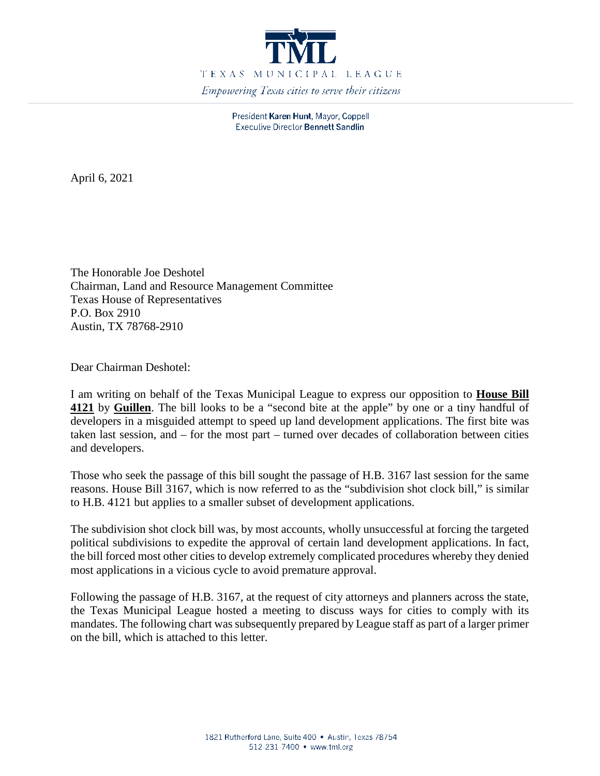

President Karen Hunt, Mayor, Coppell **Executive Director Bennett Sandlin** 

April 6, 2021

The Honorable Joe Deshotel Chairman, Land and Resource Management Committee Texas House of Representatives P.O. Box 2910 Austin, TX 78768-2910

Dear Chairman Deshotel:

I am writing on behalf of the Texas Municipal League to express our opposition to **House Bill 4121** by **Guillen**. The bill looks to be a "second bite at the apple" by one or a tiny handful of developers in a misguided attempt to speed up land development applications. The first bite was taken last session, and – for the most part – turned over decades of collaboration between cities and developers.

Those who seek the passage of this bill sought the passage of H.B. 3167 last session for the same reasons. House Bill 3167, which is now referred to as the "subdivision shot clock bill," is similar to H.B. 4121 but applies to a smaller subset of development applications.

The subdivision shot clock bill was, by most accounts, wholly unsuccessful at forcing the targeted political subdivisions to expedite the approval of certain land development applications. In fact, the bill forced most other cities to develop extremely complicated procedures whereby they denied most applications in a vicious cycle to avoid premature approval.

Following the passage of H.B. 3167, at the request of city attorneys and planners across the state, the Texas Municipal League hosted a meeting to discuss ways for cities to comply with its mandates. The following chart was subsequently prepared by League staff as part of a larger primer on the bill, which is attached to this letter.